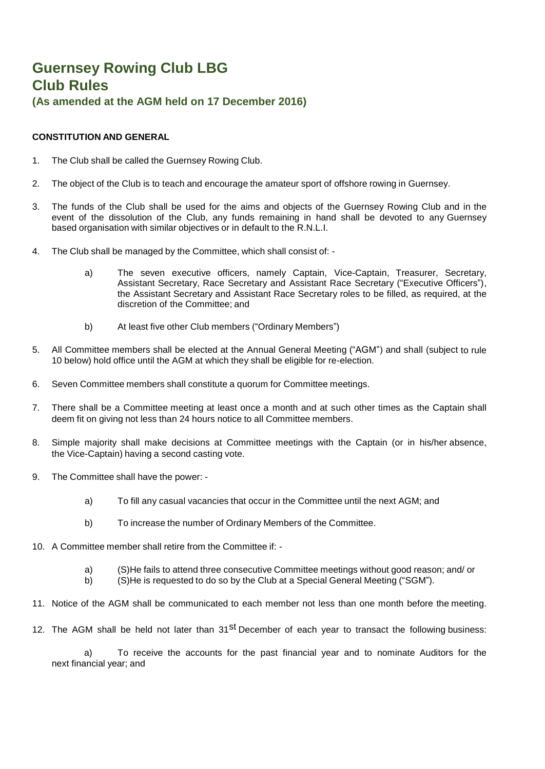# **Guernsey Rowing Club LBG Club Rules (As amended at the AGM held on 17 December 2016)**

# **CONSTITUTION AND GENERAL**

- 1. The Club shall be called the Guernsey Rowing Club.
- 2. The object of the Club is to teach and encourage the amateur sport of offshore rowing in Guernsey.
- 3. The funds of the Club shall be used for the aims and objects of the Guernsey Rowing Club and in the event of the dissolution of the Club, any funds remaining in hand shall be devoted to any Guernsey based organisation with similar objectives or in default to the R.N.L.I.
- 4. The Club shall be managed by the Committee, which shall consist of:
	- a) The seven executive officers, namely Captain, Vice-Captain, Treasurer, Secretary, Assistant Secretary, Race Secretary and Assistant Race Secretary ("Executive Officers"), the Assistant Secretary and Assistant Race Secretary roles to be filled, as required, at the discretion of the Committee; and
	- b) At least five other Club members ("Ordinary Members")
- 5. All Committee members shall be elected at the Annual General Meeting ("AGM") and shall (subject to rule 10 below) hold office until the AGM at which they shall be eligible for re-election.
- 6. Seven Committee members shall constitute a quorum for Committee meetings.
- 7. There shall be a Committee meeting at least once a month and at such other times as the Captain shall deem fit on giving not less than 24 hours notice to all Committee members.
- 8. Simple majority shall make decisions at Committee meetings with the Captain (or in his/her absence, the Vice-Captain) having a second casting vote.
- 9. The Committee shall have the power:
	- a) To fill any casual vacancies that occur in the Committee until the next AGM; and
	- b) To increase the number of Ordinary Members of the Committee.
- 10. A Committee member shall retire from the Committee if:
	- a) (S)He fails to attend three consecutive Committee meetings without good reason; and/ or
	- b) (S)He is requested to do so by the Club at a Special General Meeting ("SGM").
- 11. Notice of the AGM shall be communicated to each member not less than one month before the meeting.
- 12. The AGM shall be held not later than 31<sup>st</sup> December of each year to transact the following business:

a) To receive the accounts for the past financial year and to nominate Auditors for the next financial year; and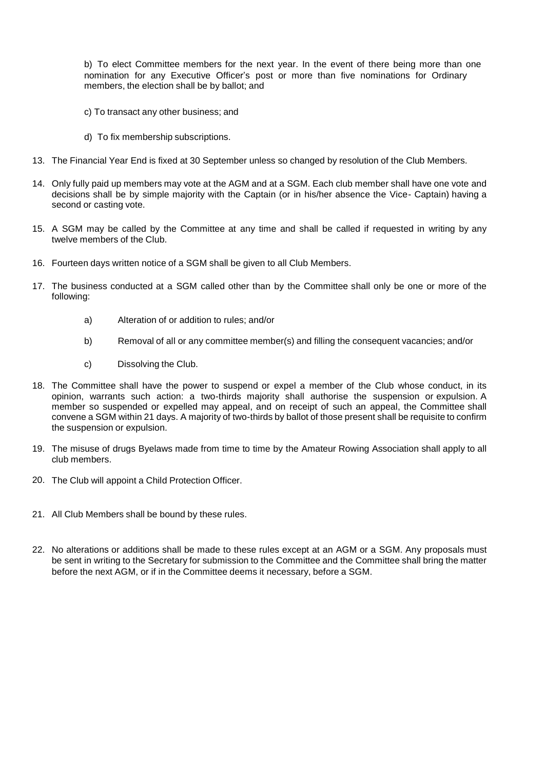b) To elect Committee members for the next year. In the event of there being more than one nomination for any Executive Officer's post or more than five nominations for Ordinary members, the election shall be by ballot; and

- c) To transact any other business; and
- d) To fix membership subscriptions.
- 13. The Financial Year End is fixed at 30 September unless so changed by resolution of the Club Members.
- 14. Only fully paid up members may vote at the AGM and at a SGM. Each club member shall have one vote and decisions shall be by simple majority with the Captain (or in his/her absence the Vice- Captain) having a second or casting vote.
- 15. A SGM may be called by the Committee at any time and shall be called if requested in writing by any twelve members of the Club.
- 16. Fourteen days written notice of a SGM shall be given to all Club Members.
- 17. The business conducted at a SGM called other than by the Committee shall only be one or more of the following:
	- a) Alteration of or addition to rules; and/or
	- b) Removal of all or any committee member(s) and filling the consequent vacancies; and/or
	- c) Dissolving the Club.
- 18. The Committee shall have the power to suspend or expel a member of the Club whose conduct, in its opinion, warrants such action: a two-thirds majority shall authorise the suspension or expulsion. A member so suspended or expelled may appeal, and on receipt of such an appeal, the Committee shall convene a SGM within 21 days. A majority of two-thirds by ballot of those present shall be requisite to confirm the suspension or expulsion.
- 19. The misuse of drugs Byelaws made from time to time by the Amateur Rowing Association shall apply to all club members.
- 20. The Club will appoint a Child Protection Officer.
- 21. All Club Members shall be bound by these rules.
- 22. No alterations or additions shall be made to these rules except at an AGM or a SGM. Any proposals must be sent in writing to the Secretary for submission to the Committee and the Committee shall bring the matter before the next AGM, or if in the Committee deems it necessary, before a SGM.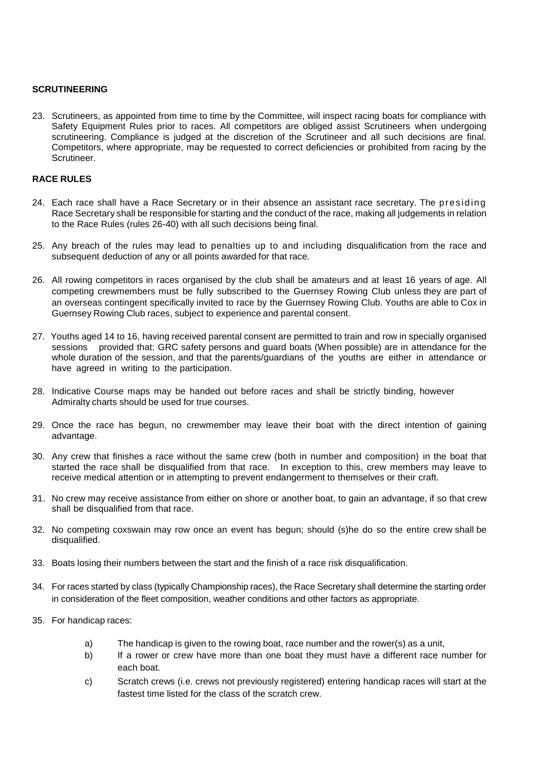#### **SCRUTINEERING**

23. Scrutineers, as appointed from time to time by the Committee, will inspect racing boats for compliance with Safety Equipment Rules prior to races. All competitors are obliged assist Scrutineers when undergoing scrutineering. Compliance is judged at the discretion of the Scrutineer and all such decisions are final. Competitors, where appropriate, may be requested to correct deficiencies or prohibited from racing by the Scrutineer.

## **RACE RULES**

- 24. Each race shall have a Race Secretary or in their absence an assistant race secretary. The presiding Race Secretary shall be responsible for starting and the conduct of the race, making all judgements in relation to the Race Rules (rules 26-40) with all such decisions being final.
- 25. Any breach of the rules may lead to penalties up to and including disqualification from the race and subsequent deduction of any or all points awarded for that race.
- 26. All rowing competitors in races organised by the club shall be amateurs and at least 16 years of age. All competing crewmembers must be fully subscribed to the Guernsey Rowing Club unless they are part of an overseas contingent specifically invited to race by the Guernsey Rowing Club. Youths are able to Cox in Guernsey Rowing Club races, subject to experience and parental consent.
- 27. Youths aged 14 to 16, having received parental consent are permitted to train and row in specially organised sessions provided that: GRC safety persons and guard boats (When possible) are in attendance for the whole duration of the session, and that the parents/guardians of the youths are either in attendance or have agreed in writing to the participation.
- 28. Indicative Course maps may be handed out before races and shall be strictly binding, however Admiralty charts should be used for true courses.
- 29. Once the race has begun, no crewmember may leave their boat with the direct intention of gaining advantage.
- 30. Any crew that finishes a race without the same crew (both in number and composition) in the boat that started the race shall be disqualified from that race. In exception to this, crew members may leave to receive medical attention or in attempting to prevent endangerment to themselves or their craft.
- 31. No crew may receive assistance from either on shore or another boat, to gain an advantage, if so that crew shall be disqualified from that race.
- 32. No competing coxswain may row once an event has begun; should (s)he do so the entire crew shall be disqualified.
- 33. Boats losing their numbers between the start and the finish of a race risk disqualification.
- 34. For races started by class (typically Championship races), the Race Secretary shall determine the starting order in consideration of the fleet composition, weather conditions and other factors as appropriate.
- 35. For handicap races:
	- a) The handicap is given to the rowing boat, race number and the rower(s) as a unit,
	- b) If a rower or crew have more than one boat they must have a different race number for each boat.
	- c) Scratch crews (i.e. crews not previously registered) entering handicap races will start at the fastest time listed for the class of the scratch crew.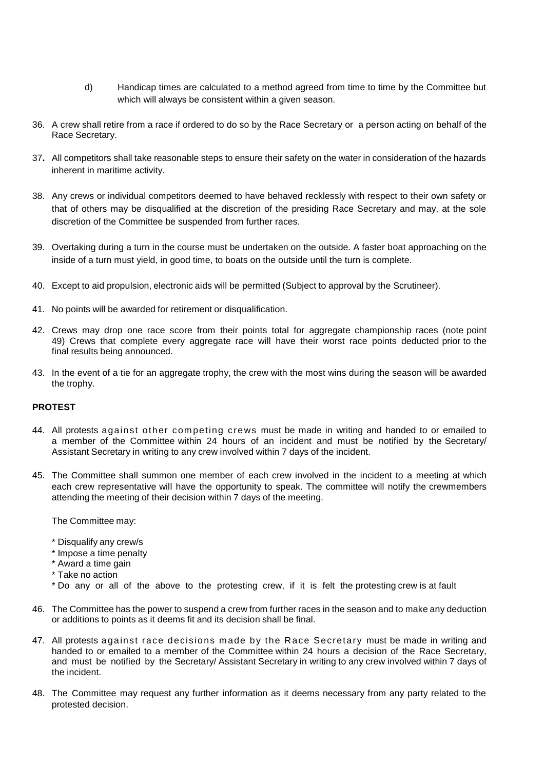- d) Handicap times are calculated to a method agreed from time to time by the Committee but which will always be consistent within a given season.
- 36. A crew shall retire from a race if ordered to do so by the Race Secretary or a person acting on behalf of the Race Secretary.
- 37**.** All competitors shall take reasonable steps to ensure their safety on the water in consideration of the hazards inherent in maritime activity.
- 38. Any crews or individual competitors deemed to have behaved recklessly with respect to their own safety or that of others may be disqualified at the discretion of the presiding Race Secretary and may, at the sole discretion of the Committee be suspended from further races.
- 39. Overtaking during a turn in the course must be undertaken on the outside. A faster boat approaching on the inside of a turn must yield, in good time, to boats on the outside until the turn is complete.
- 40. Except to aid propulsion, electronic aids will be permitted (Subject to approval by the Scrutineer).
- 41. No points will be awarded for retirement or disqualification.
- 42. Crews may drop one race score from their points total for aggregate championship races (note point 49) Crews that complete every aggregate race will have their worst race points deducted prior to the final results being announced.
- 43. In the event of a tie for an aggregate trophy, the crew with the most wins during the season will be awarded the trophy.

## **PROTEST**

- 44. All protests against other com peting crews must be made in writing and handed to or emailed to a member of the Committee within 24 hours of an incident and must be notified by the Secretary/ Assistant Secretary in writing to any crew involved within 7 days of the incident.
- 45. The Committee shall summon one member of each crew involved in the incident to a meeting at which each crew representative will have the opportunity to speak. The committee will notify the crewmembers attending the meeting of their decision within 7 days of the meeting.

The Committee may:

- \* Disqualify any crew/s
- \* Impose a time penalty
- \* Award a time gain
- \* Take no action
- \* Do any or all of the above to the protesting crew, if it is felt the protesting crew is at fault
- 46. The Committee has the power to suspend a crew from further races in the season and to make any deduction or additions to points as it deems fit and its decision shall be final.
- 47. All protests against race decisions made by the Race Secretary must be made in writing and handed to or emailed to a member of the Committee within 24 hours a decision of the Race Secretary, and must be notified by the Secretary/ Assistant Secretary in writing to any crew involved within 7 days of the incident.
- 48. The Committee may request any further information as it deems necessary from any party related to the protested decision.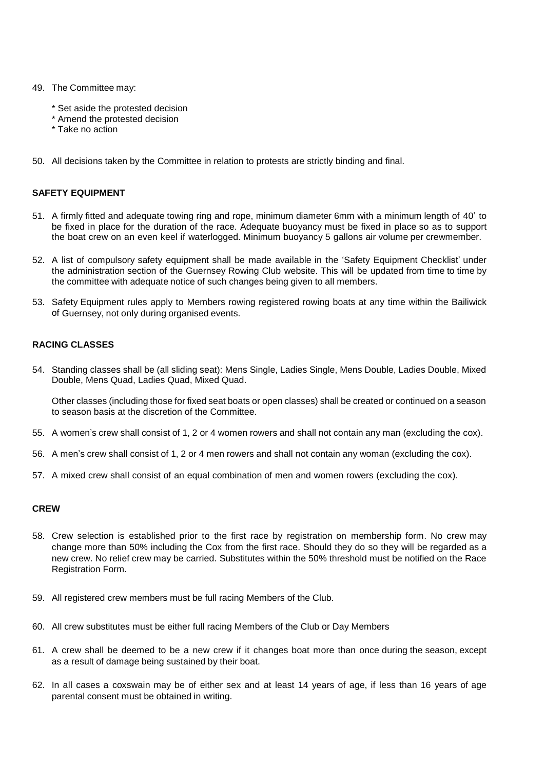- 49. The Committee may:
	- \* Set aside the protested decision
	- \* Amend the protested decision
	- \* Take no action
- 50. All decisions taken by the Committee in relation to protests are strictly binding and final.

#### **SAFETY EQUIPMENT**

- 51. A firmly fitted and adequate towing ring and rope, minimum diameter 6mm with a minimum length of 40' to be fixed in place for the duration of the race. Adequate buoyancy must be fixed in place so as to support the boat crew on an even keel if waterlogged. Minimum buoyancy 5 gallons air volume per crewmember.
- 52. A list of compulsory safety equipment shall be made available in the 'Safety Equipment Checklist' under the administration section of the Guernsey Rowing Club website. This will be updated from time to time by the committee with adequate notice of such changes being given to all members.
- 53. Safety Equipment rules apply to Members rowing registered rowing boats at any time within the Bailiwick of Guernsey, not only during organised events.

#### **RACING CLASSES**

54. Standing classes shall be (all sliding seat): Mens Single, Ladies Single, Mens Double, Ladies Double, Mixed Double, Mens Quad, Ladies Quad, Mixed Quad.

Other classes (including those for fixed seat boats or open classes) shall be created or continued on a season to season basis at the discretion of the Committee.

- 55. A women's crew shall consist of 1, 2 or 4 women rowers and shall not contain any man (excluding the cox).
- 56. A men's crew shall consist of 1, 2 or 4 men rowers and shall not contain any woman (excluding the cox).
- 57. A mixed crew shall consist of an equal combination of men and women rowers (excluding the cox).

#### **CREW**

- 58. Crew selection is established prior to the first race by registration on membership form. No crew may change more than 50% including the Cox from the first race. Should they do so they will be regarded as a new crew. No relief crew may be carried. Substitutes within the 50% threshold must be notified on the Race Registration Form.
- 59. All registered crew members must be full racing Members of the Club.
- 60. All crew substitutes must be either full racing Members of the Club or Day Members
- 61. A crew shall be deemed to be a new crew if it changes boat more than once during the season, except as a result of damage being sustained by their boat.
- 62. In all cases a coxswain may be of either sex and at least 14 years of age, if less than 16 years of age parental consent must be obtained in writing.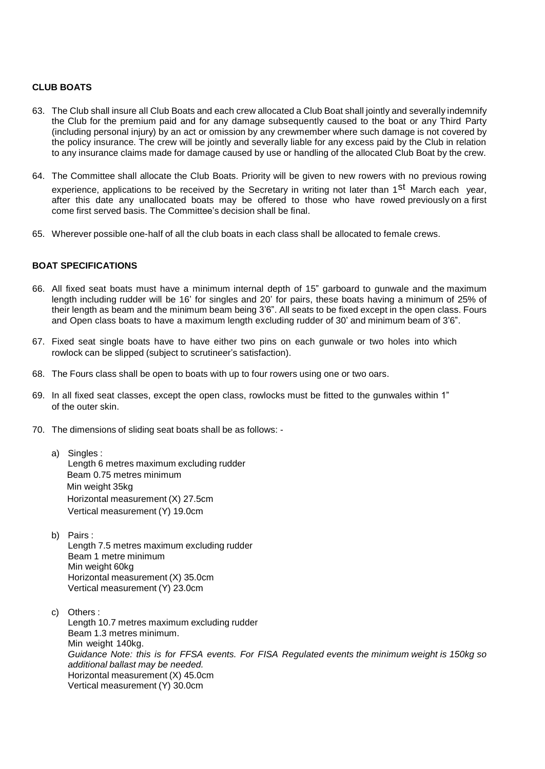# **CLUB BOATS**

- 63. The Club shall insure all Club Boats and each crew allocated a Club Boat shall jointly and severally indemnify the Club for the premium paid and for any damage subsequently caused to the boat or any Third Party (including personal injury) by an act or omission by any crewmember where such damage is not covered by the policy insurance. The crew will be jointly and severally liable for any excess paid by the Club in relation to any insurance claims made for damage caused by use or handling of the allocated Club Boat by the crew.
- 64. The Committee shall allocate the Club Boats. Priority will be given to new rowers with no previous rowing experience, applications to be received by the Secretary in writing not later than 1<sup>st</sup> March each year, after this date any unallocated boats may be offered to those who have rowed previously on a first come first served basis. The Committee's decision shall be final.
- 65. Wherever possible one-half of all the club boats in each class shall be allocated to female crews.

# **BOAT SPECIFICATIONS**

- 66. All fixed seat boats must have a minimum internal depth of 15" garboard to gunwale and the maximum length including rudder will be 16' for singles and 20' for pairs, these boats having a minimum of 25% of their length as beam and the minimum beam being 3'6". All seats to be fixed except in the open class. Fours and Open class boats to have a maximum length excluding rudder of 30' and minimum beam of 3'6".
- 67. Fixed seat single boats have to have either two pins on each gunwale or two holes into which rowlock can be slipped (subject to scrutineer's satisfaction).
- 68. The Fours class shall be open to boats with up to four rowers using one or two oars.
- 69. In all fixed seat classes, except the open class, rowlocks must be fitted to the gunwales within 1" of the outer skin.
- 70. The dimensions of sliding seat boats shall be as follows:
	- a) Singles : Length 6 metres maximum excluding rudder Beam 0.75 metres minimum Min weight 35kg Horizontal measurement (X) 27.5cm Vertical measurement (Y) 19.0cm
	- b) Pairs : Length 7.5 metres maximum excluding rudder Beam 1 metre minimum Min weight 60kg Horizontal measurement (X) 35.0cm Vertical measurement (Y) 23.0cm
	- c) Others : Length 10.7 metres maximum excluding rudder Beam 1.3 metres minimum. Min weight 140kg. *Guidance Note: this is for FFSA events. For FISA Regulated events the minimum weight is 150kg so additional ballast may be needed.*  Horizontal measurement (X) 45.0cm Vertical measurement (Y) 30.0cm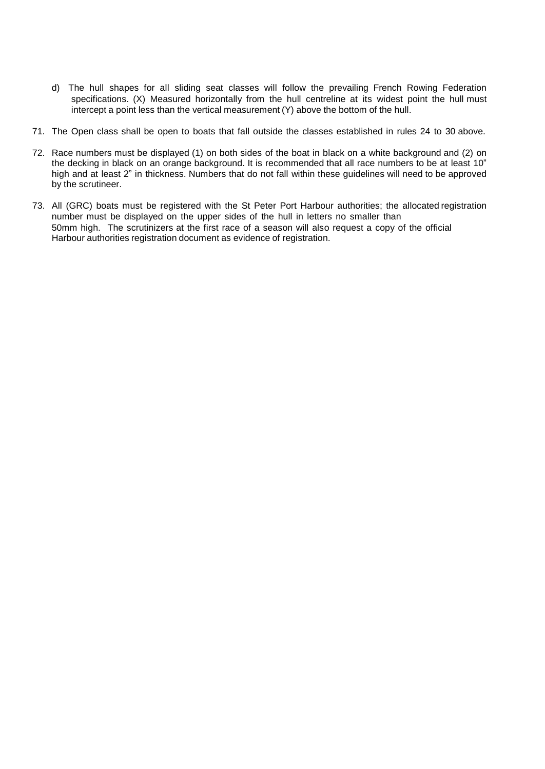- d) The hull shapes for all sliding seat classes will follow the prevailing French Rowing Federation specifications. (X) Measured horizontally from the hull centreline at its widest point the hull must intercept a point less than the vertical measurement (Y) above the bottom of the hull.
- 71. The Open class shall be open to boats that fall outside the classes established in rules 24 to 30 above.
- 72. Race numbers must be displayed (1) on both sides of the boat in black on a white background and (2) on the decking in black on an orange background. It is recommended that all race numbers to be at least 10" high and at least 2" in thickness. Numbers that do not fall within these guidelines will need to be approved by the scrutineer.
- 73. All (GRC) boats must be registered with the St Peter Port Harbour authorities; the allocated registration number must be displayed on the upper sides of the hull in letters no smaller than 50mm high. The scrutinizers at the first race of a season will also request a copy of the official Harbour authorities registration document as evidence of registration.